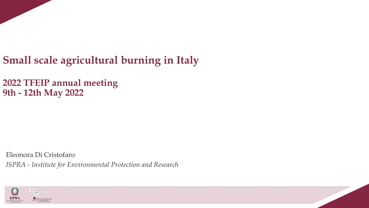

**2022 TFEIP annual meeting 9th - 12th May 2022**

Eleonora Di Cristofaro *ISPRA - Institute for Environmental Protection and Research*

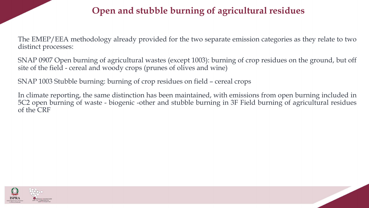## **Open and stubble burning of agricultural residues**

The EMEP/EEA methodology already provided for the two separate emission categories as they relate to two distinct processes:

SNAP 0907 Open burning of agricultural wastes (except 1003): burning of crop residues on the ground, but off site of the field - cereal and woody crops (prunes of olives and wine)

SNAP 1003 Stubble burning: burning of crop residues on field – cereal crops

In climate reporting, the same distinction has been maintained, with emissions from open burning included in 5C2 open burning of waste - biogenic -other and stubble burning in 3F Field burning of agricultural residues of the CRF

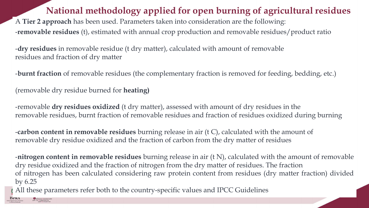## **National methodology applied for open burning of agricultural residues**

A **Tier 2 approach** has been used. Parameters taken into consideration are the following: -**removable residues** (t), estimated with annual crop production and removable residues/product ratio

-**dry residues** in removable residue (t dry matter), calculated with amount of removable residues and fraction of dry matter

-**burnt fraction** of removable residues (the complementary fraction is removed for feeding, bedding, etc.)

(removable dry residue burned for **heating)**

**ISPRA** 

-removable **dry residues oxidized** (t dry matter), assessed with amount of dry residues in the removable residues, burnt fraction of removable residues and fraction of residues oxidized during burning

-**carbon content in removable residues** burning release in air (t C), calculated with the amount of removable dry residue oxidized and the fraction of carbon from the dry matter of residues

-**nitrogen content in removable residues** burning release in air (t N), calculated with the amount of removable dry residue oxidized and the fraction of nitrogen from the dry matter of residues. The fraction of nitrogen has been calculated considering raw protein content from residues (dry matter fraction) divided by 6.25

All these parameters refer both to the country-specific values and IPCC Guidelines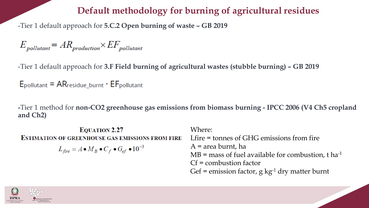## **Default methodology for burning of agricultural residues**

-Tier 1 default approach for **5.C.2 Open burning of waste – GB 2019**

$$
E_{\textit{pollutant}} = A R_{\textit{production}} \times EF_{\textit{pollutant}}
$$

-Tier 1 default approach for **3.F Field burning of agricultural wastes (stubble burning) – GB 2019**

 $E_{\text{pollutant}} = AR_{\text{residue\_burnt}} \cdot EF_{\text{pollutant}}$ 

**-**Tier 1 method for **non-CO2 greenhouse gas emissions from biomass burning - IPCC 2006 (V4 Ch5 cropland and Ch2)**

**EQUATION 2.27 ESTIMATION OF GREENHOUSE GAS EMISSIONS FROM FIRE**  $L_{fire} = A \bullet M_B \bullet C_f \bullet G_{ef} \bullet 10^{-3}$ 

Where: Lfire = tonnes of GHG emissions from fire A = area burnt, ha  $MB =$  mass of fuel available for combustion, t ha<sup>-1</sup> Cf = combustion factor Gef = emission factor,  $g \text{ kg}^{-1}$  dry matter burnt

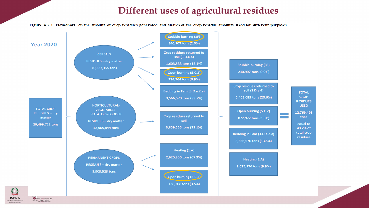### **Different uses of agricultural residues**

Figure A.7.1. Flow-chart on the amount of crop residues generated and shares of the crop residue amounts used for different purposes

**ISPRA** 

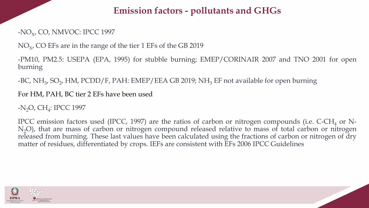## **Emission factors - pollutants and GHGs**

### -NO<sub>x</sub>, CO, NMVOC: IPCC 1997

 $\rm NO_{X'}$  CO EFs are in the range of the tier 1 EFs of the GB 2019

-PM10, PM2.5: USEPA (EPA, 1995) for stubble burning; EMEP/CORINAIR 2007 and TNO 2001 for open burning

-BC, NH<sub>3</sub>, SO<sub>2</sub>, HM, PCDD/F, PAH: EMEP/EEA GB 2019; NH<sub>3</sub> EF not available for open burning

#### For HM, PAH, BC tier 2 EFs have been used

### -N<sub>2</sub>O, CH<sub>4</sub>: IPCC 1997

IPCC emission factors used (IPCC, 1997) are the ratios of carbon or nitrogen compounds (i.e.  $C$ -CH<sub>4</sub> or N-N<sub>2</sub>O), that are mass of carbon or nitrogen compound released relative to mass of total carbon or nitrogen released from burning. These last values have been calculated using the fractions of carbon or nitrogen of dry matter of residues, differentiated by crops. IEFs are consistent with EFs 2006 IPCC Guidelines

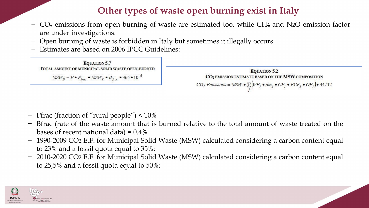## **Other types of waste open burning exist in Italy**

- −  $\rm CO_{2}$  emissions from open burning of waste are estimated too, while CH4 and N2O emission factor are under investigations.
- − Open burning of waste is forbidden in Italy but sometimes it illegally occurs.
- − Estimates are based on 2006 IPCC Guidelines:

**EQUATION 5.7** TOTAL AMOUNT OF MUNICIPAL SOLID WASTE OPEN-BURNED  $MSW_B = P \bullet P_{frac} \bullet MSW_P \bullet B_{frac} \bullet 365 \bullet 10^{-6}$ 



- − Pfrac (fraction of "rural people") < 10%
- Bfrac (rate of the waste amount that is burned relative to the total amount of waste treated on the bases of recent national data) =  $0.4\%$
- − 1990-2009 CO2 E.F. for Municipal Solid Waste (MSW) calculated considering a carbon content equal to 23% and a fossil quota equal to 35%;
- − 2010-2020 CO2 E.F. for Municipal Solid Waste (MSW) calculated considering a carbon content equal to 25,5% and a fossil quota equal to 50%;

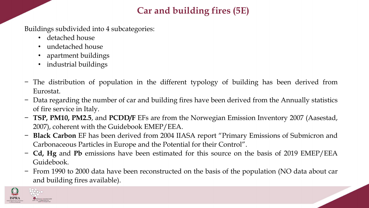# **Car and building fires (5E)**

Buildings subdivided into 4 subcategories:

- detached house
- undetached house
- apartment buildings
- industrial buildings
- − The distribution of population in the different typology of building has been derived from Eurostat.
- − Data regarding the number of car and building fires have been derived from the Annually statistics of fire service in Italy.
- − **TSP, PM10, PM2.5**, and **PCDD/F** EFs are from the Norwegian Emission Inventory 2007 (Aasestad, 2007), coherent with the Guidebook EMEP/EEA.
- − **Black Carbon** EF has been derived from 2004 IIASA report "Primary Emissions of Submicron and Carbonaceous Particles in Europe and the Potential for their Control".
- − **Cd, Hg** and **Pb** emissions have been estimated for this source on the basis of 2019 EMEP/EEA Guidebook.
- − From 1990 to 2000 data have been reconstructed on the basis of the population (NO data about car and building fires available).

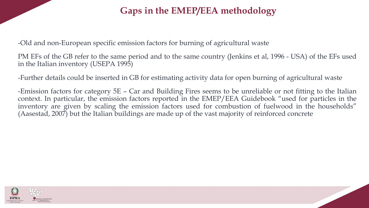## **Gaps in the EMEP/EEA methodology**

-Old and non-European specific emission factors for burning of agricultural waste

PM EFs of the GB refer to the same period and to the same country (Jenkins et al, 1996 - USA) of the EFs used in the Italian inventory (USEPA 1995)

-Further details could be inserted in GB for estimating activity data for open burning of agricultural waste

-Emission factors for category 5E – Car and Building Fires seems to be unreliable or not fitting to the Italian context. In particular, the emission factors reported in the EMEP/EEA Guidebook "used for particles in the inventory are given by scaling the emission factors used for combustion of fuelwood in the households" (Aasestad, 2007) but the Italian buildings are made up of the vast majority of reinforced concrete